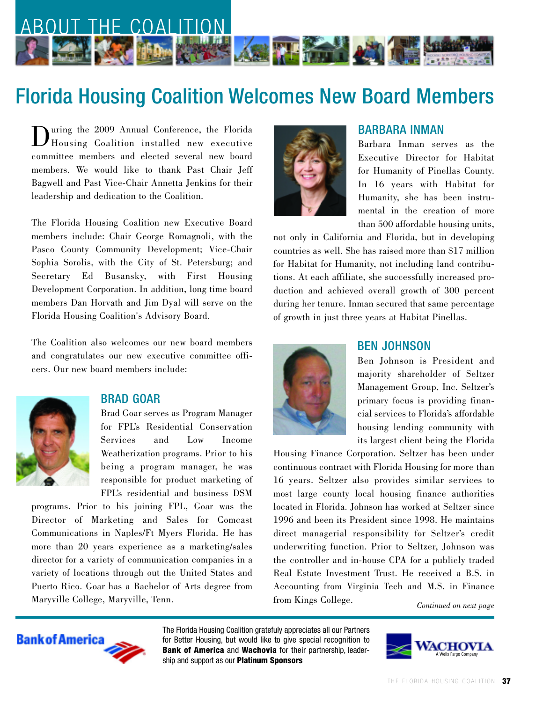

# Florida Housing Coalition Welcomes New Board Members

During the 2009 Annual Conference, the Florida Housing Coalition installed new executive committee members and elected several new board members. We would like to thank Past Chair Jeff Bagwell and Past Vice-Chair Annetta Jenkins for their leadership and dedication to the Coalition.

The Florida Housing Coalition new Executive Board members include: Chair George Romagnoli, with the Pasco County Community Development; Vice-Chair Sophia Sorolis, with the City of St. Petersburg; and Secretary Ed Busansky, with First Housing Development Corporation. In addition, long time board members Dan Horvath and Jim Dyal will serve on the Florida Housing Coalition's Advisory Board.

The Coalition also welcomes our new board members and congratulates our new executive committee officers. Our new board members include:



#### BRAD GOAR

Brad Goar serves as Program Manager for FPL's Residential Conservation Services and Low Income Weatherization programs. Prior to his being a program manager, he was responsible for product marketing of FPL's residential and business DSM

programs. Prior to his joining FPL, Goar was the Director of Marketing and Sales for Comcast Communications in Naples/Ft Myers Florida. He has more than 20 years experience as a marketing/sales director for a variety of communication companies in a variety of locations through out the United States and Puerto Rico. Goar has a Bachelor of Arts degree from Maryville College, Maryville, Tenn.



## BARBARA INMAN

Barbara Inman serves as the Executive Director for Habitat for Humanity of Pinellas County. In 16 years with Habitat for Humanity, she has been instrumental in the creation of more than 500 affordable housing units,

not only in California and Florida, but in developing countries as well. She has raised more than \$17 million for Habitat for Humanity, not including land contributions. At each affiliate, she successfully increased production and achieved overall growth of 300 percent during her tenure. Inman secured that same percentage of growth in just three years at Habitat Pinellas.



### BEN JOHNSON

Ben Johnson is President and majority shareholder of Seltzer Management Group, Inc. Seltzer's primary focus is providing financial services to Florida's affordable housing lending community with its largest client being the Florida

Housing Finance Corporation. Seltzer has been under continuous contract with Florida Housing for more than 16 years. Seltzer also provides similar services to most large county local housing finance authorities located in Florida. Johnson has worked at Seltzer since 1996 and been its President since 1998. He maintains direct managerial responsibility for Seltzer's credit underwriting function. Prior to Seltzer, Johnson was the controller and in-house CPA for a publicly traded Real Estate Investment Trust. He received a B.S. in Accounting from Virginia Tech and M.S. in Finance from Kings College.

*Continued on next page*



The Florida Housing Coalition gratefuly appreciates all our Partners for Better Housing, but would like to give special recognition to **Bank of America** and **Wachovia** for their partnership, leadership and support as our **Platinum Sponsors**